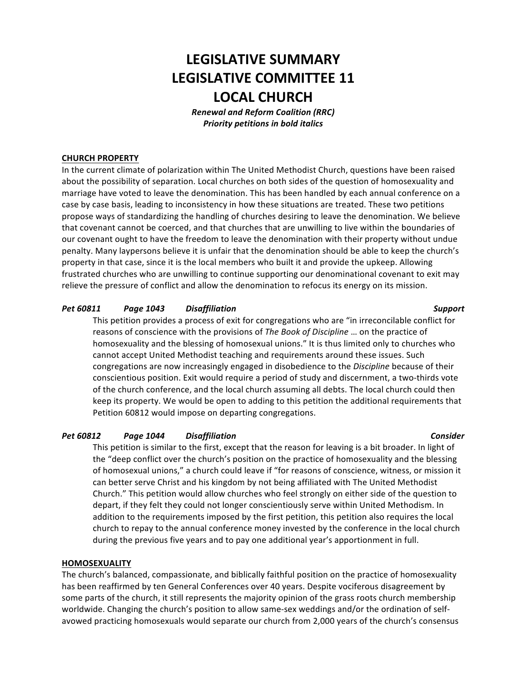# **LEGISLATIVE SUMMARY LEGISLATIVE COMMITTEE 11 LOCAL CHURCH**

*Renewal and Reform Coalition (RRC)* **Priority petitions in bold italics** 

### **CHURCH PROPERTY**

In the current climate of polarization within The United Methodist Church, questions have been raised about the possibility of separation. Local churches on both sides of the question of homosexuality and marriage have voted to leave the denomination. This has been handled by each annual conference on a case by case basis, leading to inconsistency in how these situations are treated. These two petitions propose ways of standardizing the handling of churches desiring to leave the denomination. We believe that covenant cannot be coerced, and that churches that are unwilling to live within the boundaries of our covenant ought to have the freedom to leave the denomination with their property without undue penalty. Many laypersons believe it is unfair that the denomination should be able to keep the church's property in that case, since it is the local members who built it and provide the upkeep. Allowing frustrated churches who are unwilling to continue supporting our denominational covenant to exit may relieve the pressure of conflict and allow the denomination to refocus its energy on its mission.

### *Pet 60811 Page 1043 Disaffiliation Support*

This petition provides a process of exit for congregations who are "in irreconcilable conflict for reasons of conscience with the provisions of *The Book of Discipline* ... on the practice of homosexuality and the blessing of homosexual unions." It is thus limited only to churches who cannot accept United Methodist teaching and requirements around these issues. Such congregations are now increasingly engaged in disobedience to the *Discipline* because of their conscientious position. Exit would require a period of study and discernment, a two-thirds vote of the church conference, and the local church assuming all debts. The local church could then keep its property. We would be open to adding to this petition the additional requirements that Petition 60812 would impose on departing congregations.

# *Pet 60812 Page 1044 Disaffiliation Consider*

This petition is similar to the first, except that the reason for leaving is a bit broader. In light of the "deep conflict over the church's position on the practice of homosexuality and the blessing of homosexual unions," a church could leave if "for reasons of conscience, witness, or mission it can better serve Christ and his kingdom by not being affiliated with The United Methodist Church." This petition would allow churches who feel strongly on either side of the question to depart, if they felt they could not longer conscientiously serve within United Methodism. In addition to the requirements imposed by the first petition, this petition also requires the local church to repay to the annual conference money invested by the conference in the local church during the previous five years and to pay one additional year's apportionment in full.

### **HOMOSEXUALITY**

The church's balanced, compassionate, and biblically faithful position on the practice of homosexuality has been reaffirmed by ten General Conferences over 40 years. Despite vociferous disagreement by some parts of the church, it still represents the majority opinion of the grass roots church membership worldwide. Changing the church's position to allow same-sex weddings and/or the ordination of selfavowed practicing homosexuals would separate our church from 2,000 years of the church's consensus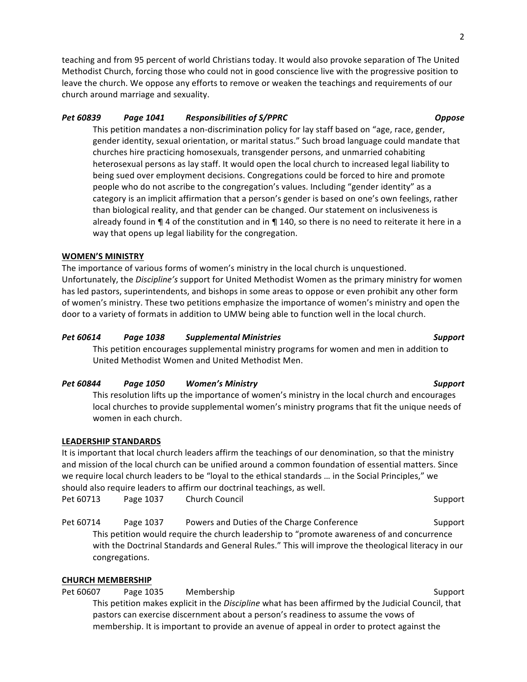teaching and from 95 percent of world Christians today. It would also provoke separation of The United Methodist Church, forcing those who could not in good conscience live with the progressive position to leave the church. We oppose any efforts to remove or weaken the teachings and requirements of our church around marriage and sexuality.

# *Pet 60839 Page 1041 Responsibilities of S/PPRC Oppose*

This petition mandates a non-discrimination policy for lay staff based on "age, race, gender, gender identity, sexual orientation, or marital status." Such broad language could mandate that churches hire practicing homosexuals, transgender persons, and unmarried cohabiting heterosexual persons as lay staff. It would open the local church to increased legal liability to being sued over employment decisions. Congregations could be forced to hire and promote people who do not ascribe to the congregation's values. Including "gender identity" as a category is an implicit affirmation that a person's gender is based on one's own feelings, rather than biological reality, and that gender can be changed. Our statement on inclusiveness is already found in  $\P$  4 of the constitution and in  $\P$  140, so there is no need to reiterate it here in a way that opens up legal liability for the congregation.

# **WOMEN'S MINISTRY**

The importance of various forms of women's ministry in the local church is unquestioned. Unfortunately, the *Discipline's* support for United Methodist Women as the primary ministry for women has led pastors, superintendents, and bishops in some areas to oppose or even prohibit any other form of women's ministry. These two petitions emphasize the importance of women's ministry and open the door to a variety of formats in addition to UMW being able to function well in the local church.

# *Pet 60614 Page 1038 Supplemental Ministries Support*

This petition encourages supplemental ministry programs for women and men in addition to United Methodist Women and United Methodist Men.

### *Pet 60844 Page 1050 Women's Ministry Support*

This resolution lifts up the importance of women's ministry in the local church and encourages local churches to provide supplemental women's ministry programs that fit the unique needs of women in each church.

### **LEADERSHIP STANDARDS**

It is important that local church leaders affirm the teachings of our denomination, so that the ministry and mission of the local church can be unified around a common foundation of essential matters. Since we require local church leaders to be "loyal to the ethical standards ... in the Social Principles," we should also require leaders to affirm our doctrinal teachings, as well. Pet 60713 Page 1037 Church Council Communications of the Support Support

Pet 60714 Page 1037 Powers and Duties of the Charge Conference Support This petition would require the church leadership to "promote awareness of and concurrence with the Doctrinal Standards and General Rules." This will improve the theological literacy in our congregations.

# **CHURCH MEMBERSHIP**

Pet 60607 Page 1035 Membership Support Support This petition makes explicit in the *Discipline* what has been affirmed by the Judicial Council, that pastors can exercise discernment about a person's readiness to assume the vows of membership. It is important to provide an avenue of appeal in order to protect against the